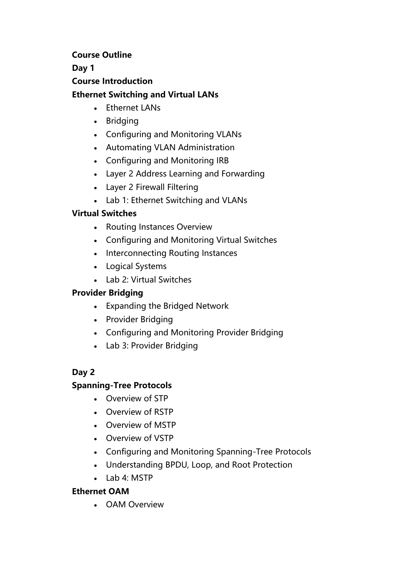#### **Course Outline**

#### **Day 1**

#### **Course Introduction**

## **Ethernet Switching and Virtual LANs**

- Ethernet LANs
- Bridging
- Configuring and Monitoring VLANs
- Automating VLAN Administration
- Configuring and Monitoring IRB
- Layer 2 Address Learning and Forwarding
- Layer 2 Firewall Filtering
- Lab 1: Ethernet Switching and VLANs

# **Virtual Switches**

- Routing Instances Overview
- Configuring and Monitoring Virtual Switches
- Interconnecting Routing Instances
- Logical Systems
- Lab 2: Virtual Switches

### **Provider Bridging**

- Expanding the Bridged Network
- Provider Bridging
- Configuring and Monitoring Provider Bridging
- Lab 3: Provider Bridging

### **Day 2**

### **Spanning-Tree Protocols**

- Overview of STP
- Overview of RSTP
- Overview of MSTP
- Overview of VSTP
- Configuring and Monitoring Spanning-Tree Protocols
- Understanding BPDU, Loop, and Root Protection
- Lab 4: MSTP

### **Ethernet OAM**

• OAM Overview